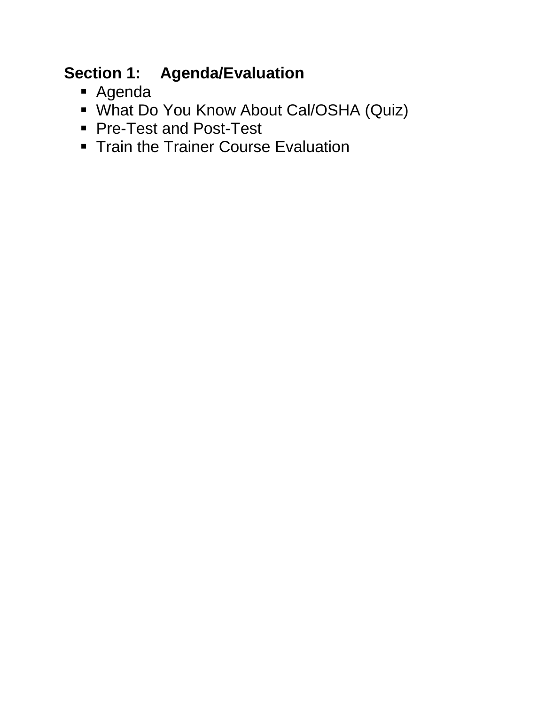### **Section 1: Agenda/Evaluation**

- Agenda
- What Do You Know About Cal/OSHA (Quiz)
- **Pre-Test and Post-Test**
- **Train the Trainer Course Evaluation**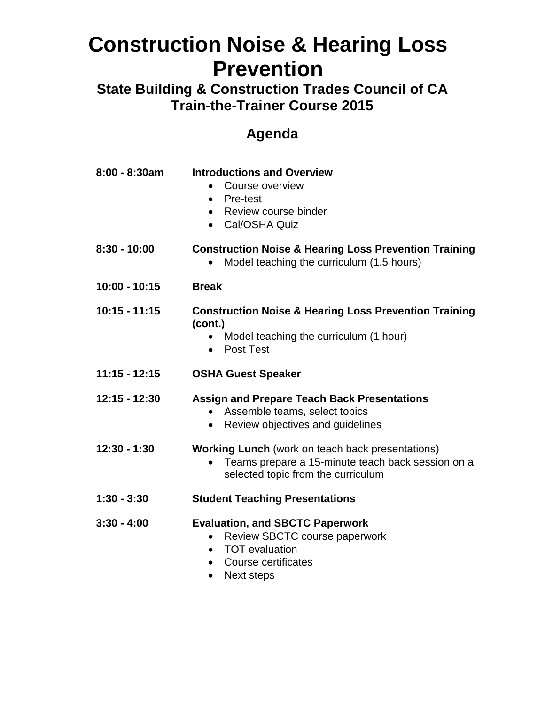**State Building & Construction Trades Council of CA Train-the-Trainer Course 2015** 

#### **Agenda**

| 8:00 - 8:30am   | <b>Introductions and Overview</b><br>Course overview<br>Pre-test<br>$\bullet$<br>Review course binder<br>Cal/OSHA Quiz<br>$\bullet$                       |
|-----------------|-----------------------------------------------------------------------------------------------------------------------------------------------------------|
| $8:30 - 10:00$  | <b>Construction Noise &amp; Hearing Loss Prevention Training</b><br>Model teaching the curriculum (1.5 hours)                                             |
| $10:00 - 10:15$ | <b>Break</b>                                                                                                                                              |
| $10:15 - 11:15$ | <b>Construction Noise &amp; Hearing Loss Prevention Training</b><br>(cont.)<br>Model teaching the curriculum (1 hour)<br>Post Test                        |
| $11:15 - 12:15$ | <b>OSHA Guest Speaker</b>                                                                                                                                 |
| 12:15 - 12:30   | <b>Assign and Prepare Teach Back Presentations</b><br>Assemble teams, select topics<br>Review objectives and guidelines                                   |
| $12:30 - 1:30$  | <b>Working Lunch</b> (work on teach back presentations)<br>Teams prepare a 15-minute teach back session on a<br>selected topic from the curriculum        |
| $1:30 - 3:30$   | <b>Student Teaching Presentations</b>                                                                                                                     |
| $3:30 - 4:00$   | <b>Evaluation, and SBCTC Paperwork</b><br>Review SBCTC course paperwork<br><b>TOT</b> evaluation<br><b>Course certificates</b><br>Next steps<br>$\bullet$ |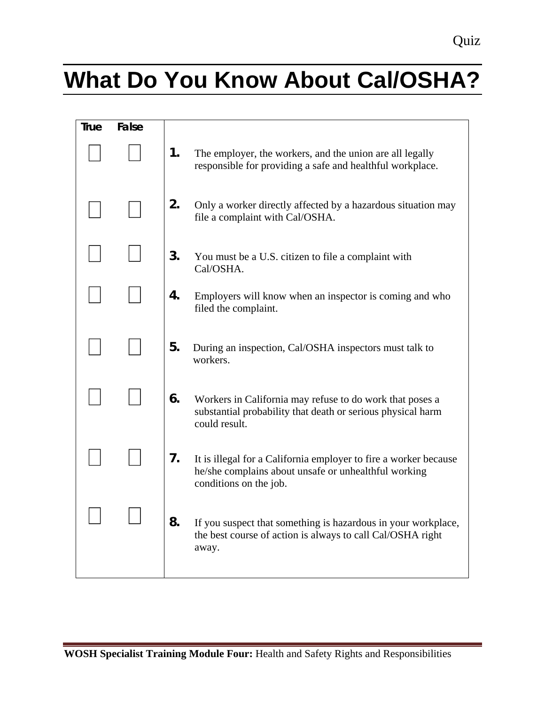# **What Do You Know About Cal/OSHA?**

| <b>True</b> | False |    |                                                                                                                                                    |
|-------------|-------|----|----------------------------------------------------------------------------------------------------------------------------------------------------|
|             |       | 1. | The employer, the workers, and the union are all legally<br>responsible for providing a safe and healthful workplace.                              |
|             |       | 2. | Only a worker directly affected by a hazardous situation may<br>file a complaint with Cal/OSHA.                                                    |
|             |       | 3. | You must be a U.S. citizen to file a complaint with<br>Cal/OSHA.                                                                                   |
|             |       | 4. | Employers will know when an inspector is coming and who<br>filed the complaint.                                                                    |
|             |       | 5. | During an inspection, Cal/OSHA inspectors must talk to<br>workers.                                                                                 |
|             |       | 6. | Workers in California may refuse to do work that poses a<br>substantial probability that death or serious physical harm<br>could result.           |
|             |       | 7. | It is illegal for a California employer to fire a worker because<br>he/she complains about unsafe or unhealthful working<br>conditions on the job. |
|             |       | 8. | If you suspect that something is hazardous in your workplace,<br>the best course of action is always to call Cal/OSHA right<br>away.               |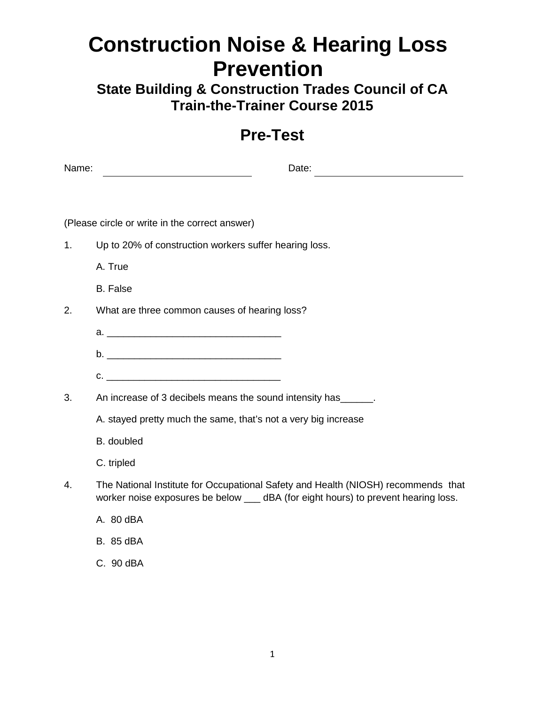**State Building & Construction Trades Council of CA Train-the-Trainer Course 2015** 

#### **Pre-Test**

| Name: | Date:                                                            |
|-------|------------------------------------------------------------------|
|       |                                                                  |
|       | (Please circle or write in the correct answer)                   |
| 1.    | Up to 20% of construction workers suffer hearing loss.           |
|       | A. True                                                          |
|       | <b>B.</b> False                                                  |
| 2.    | What are three common causes of hearing loss?                    |
|       |                                                                  |
|       |                                                                  |
|       | $C.$ $\qquad \qquad$                                             |
| 3.    | An increase of 3 decibels means the sound intensity has _______. |
|       | A. stayed pretty much the same, that's not a very big increase   |
|       | B. doubled                                                       |
|       |                                                                  |

- C. tripled
- 4. The National Institute for Occupational Safety and Health (NIOSH) recommends that worker noise exposures be below \_\_\_ dBA (for eight hours) to prevent hearing loss.
	- A. 80 dBA
	- B. 85 dBA
	- C. 90 dBA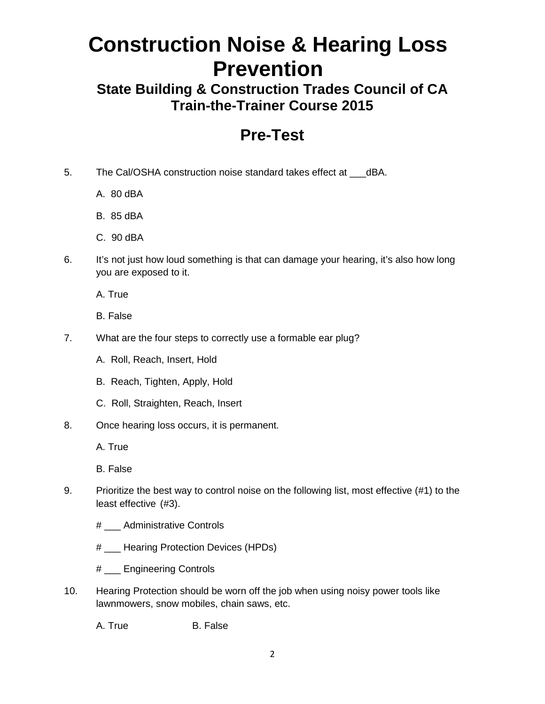**State Building & Construction Trades Council of CA Train-the-Trainer Course 2015** 

#### **Pre-Test**

- 5. The Cal/OSHA construction noise standard takes effect at \_\_\_dBA.
	- A. 80 dBA
	- B. 85 dBA
	- C. 90 dBA
- 6. It's not just how loud something is that can damage your hearing, it's also how long you are exposed to it.
	- A. True
	- B. False
- 7. What are the four steps to correctly use a formable ear plug?
	- A. Roll, Reach, Insert, Hold
	- B. Reach, Tighten, Apply, Hold
	- C. Roll, Straighten, Reach, Insert
- 8. Once hearing loss occurs, it is permanent.

A. True

B. False

- 9. Prioritize the best way to control noise on the following list, most effective (#1) to the least effective (#3).
	- # \_\_\_ Administrative Controls
	- # \_\_\_ Hearing Protection Devices (HPDs)
	- # \_\_\_ Engineering Controls
- 10. Hearing Protection should be worn off the job when using noisy power tools like lawnmowers, snow mobiles, chain saws, etc.

A. True B. False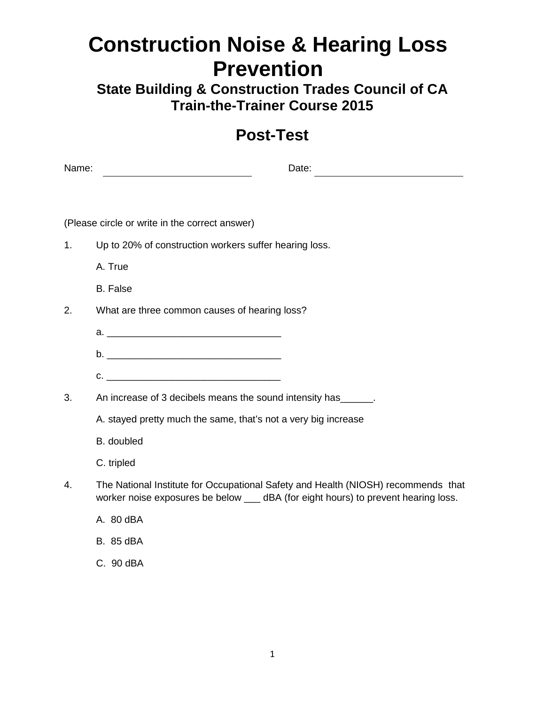**State Building & Construction Trades Council of CA Train-the-Trainer Course 2015** 

#### **Post-Test**

| Name: | Date:                                                   |
|-------|---------------------------------------------------------|
|       |                                                         |
|       |                                                         |
|       | (Please circle or write in the correct answer)          |
| 1.    | Up to 20% of construction workers suffer hearing loss.  |
|       | A. True                                                 |
|       | <b>B.</b> False                                         |
| 2.    | What are three common causes of hearing loss?           |
|       |                                                         |
|       |                                                         |
|       | $C.$ $\qquad \qquad$                                    |
| 3.    | An increase of 3 decibels means the sound intensity has |

A. stayed pretty much the same, that's not a very big increase

- B. doubled
- C. tripled
- 4. The National Institute for Occupational Safety and Health (NIOSH) recommends that worker noise exposures be below \_\_\_ dBA (for eight hours) to prevent hearing loss.
	- A. 80 dBA
	- B. 85 dBA
	- C. 90 dBA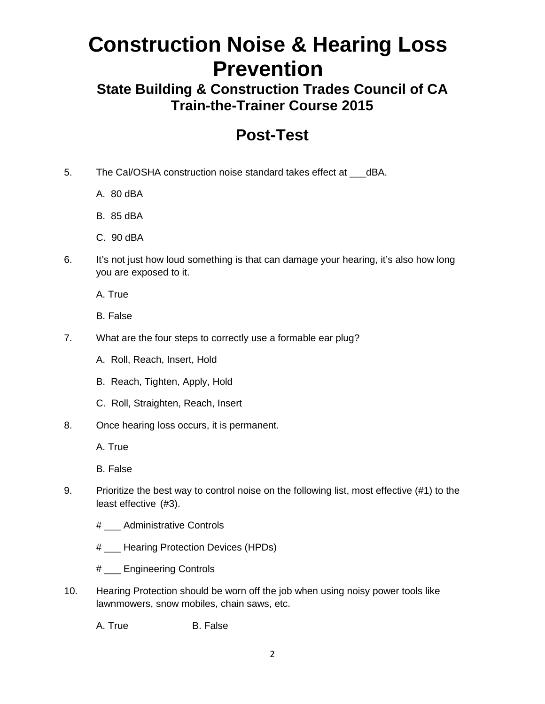**State Building & Construction Trades Council of CA Train-the-Trainer Course 2015** 

#### **Post-Test**

- 5. The Cal/OSHA construction noise standard takes effect at \_\_\_dBA.
	- A. 80 dBA
	- B. 85 dBA
	- C. 90 dBA
- 6. It's not just how loud something is that can damage your hearing, it's also how long you are exposed to it.
	- A. True
	- B. False
- 7. What are the four steps to correctly use a formable ear plug?
	- A. Roll, Reach, Insert, Hold
	- B. Reach, Tighten, Apply, Hold
	- C. Roll, Straighten, Reach, Insert
- 8. Once hearing loss occurs, it is permanent.

A. True

B. False

- 9. Prioritize the best way to control noise on the following list, most effective (#1) to the least effective (#3).
	- # \_\_\_ Administrative Controls
	- # \_\_\_ Hearing Protection Devices (HPDs)
	- # \_\_\_ Engineering Controls
- 10. Hearing Protection should be worn off the job when using noisy power tools like lawnmowers, snow mobiles, chain saws, etc.

A. True B. False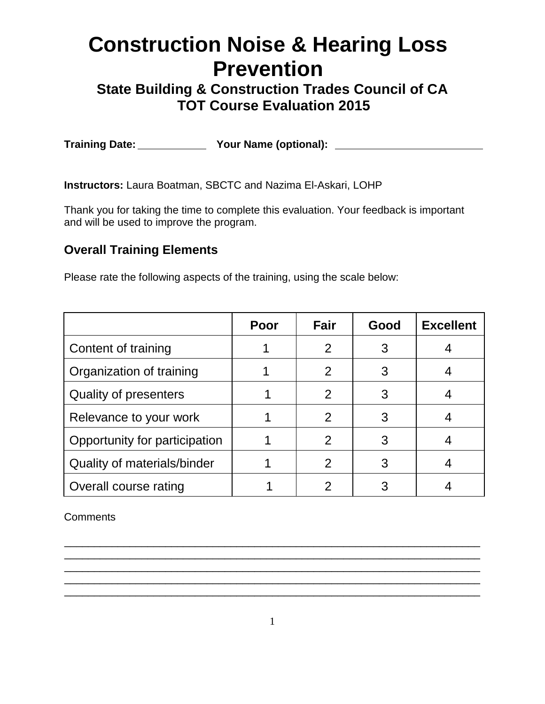**State Building & Construction Trades Council of CA TOT Course Evaluation 2015** 

**Training Date: Your Name (optional):**

**Instructors:** Laura Boatman, SBCTC and Nazima El-Askari, LOHP

Thank you for taking the time to complete this evaluation. Your feedback is important and will be used to improve the program.

#### **Overall Training Elements**

Please rate the following aspects of the training, using the scale below:

|                               | Poor | Fair           | Good | <b>Excellent</b> |
|-------------------------------|------|----------------|------|------------------|
| Content of training           |      |                |      |                  |
| Organization of training      |      | $\mathcal{P}$  |      |                  |
| <b>Quality of presenters</b>  |      | 2              |      |                  |
| Relevance to your work        |      | $\overline{2}$ |      |                  |
| Opportunity for participation |      | 2              |      |                  |
| Quality of materials/binder   |      |                |      |                  |
| Overall course rating         |      |                |      |                  |

**Comments** 

\_\_\_\_\_\_\_\_\_\_\_\_\_\_\_\_\_\_\_\_\_\_\_\_\_\_\_\_\_\_\_\_\_\_\_\_\_\_\_\_\_\_\_\_\_\_\_\_\_\_\_\_\_\_\_\_\_\_\_\_\_\_\_\_\_\_\_\_\_\_ \_\_\_\_\_\_\_\_\_\_\_\_\_\_\_\_\_\_\_\_\_\_\_\_\_\_\_\_\_\_\_\_\_\_\_\_\_\_\_\_\_\_\_\_\_\_\_\_\_\_\_\_\_\_\_\_\_\_\_\_\_\_\_\_\_\_\_\_\_\_ \_\_\_\_\_\_\_\_\_\_\_\_\_\_\_\_\_\_\_\_\_\_\_\_\_\_\_\_\_\_\_\_\_\_\_\_\_\_\_\_\_\_\_\_\_\_\_\_\_\_\_\_\_\_\_\_\_\_\_\_\_\_\_\_\_\_\_\_\_\_ \_\_\_\_\_\_\_\_\_\_\_\_\_\_\_\_\_\_\_\_\_\_\_\_\_\_\_\_\_\_\_\_\_\_\_\_\_\_\_\_\_\_\_\_\_\_\_\_\_\_\_\_\_\_\_\_\_\_\_\_\_\_\_\_\_\_\_\_\_\_ \_\_\_\_\_\_\_\_\_\_\_\_\_\_\_\_\_\_\_\_\_\_\_\_\_\_\_\_\_\_\_\_\_\_\_\_\_\_\_\_\_\_\_\_\_\_\_\_\_\_\_\_\_\_\_\_\_\_\_\_\_\_\_\_\_\_\_\_\_\_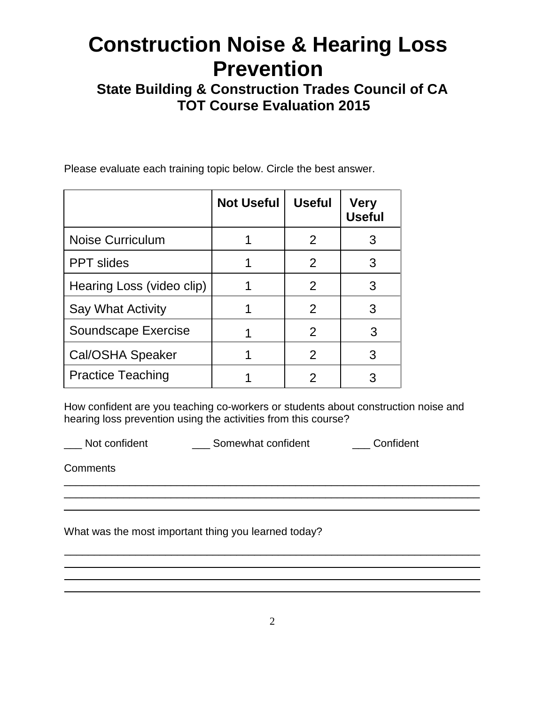**State Building & Construction Trades Council of CA TOT Course Evaluation 2015** 

Please evaluate each training topic below. Circle the best answer.

|                           | <b>Not Useful</b> | <b>Useful</b> | <b>Very</b><br><b>Useful</b> |
|---------------------------|-------------------|---------------|------------------------------|
| Noise Curriculum          |                   | 2             | 3                            |
| <b>PPT</b> slides         |                   | 2             | 3                            |
| Hearing Loss (video clip) |                   | $\mathcal{P}$ | 3                            |
| Say What Activity         |                   | $\mathcal{P}$ | 3                            |
| Soundscape Exercise       |                   | 2             | 3                            |
| Cal/OSHA Speaker          |                   | 2             | 3                            |
| <b>Practice Teaching</b>  |                   | 2             |                              |

How confident are you teaching co-workers or students about construction noise and hearing loss prevention using the activities from this course?

 $\overline{\phantom{a}}$  , and the contribution of the contribution of the contribution of the contribution of the contribution of the contribution of the contribution of the contribution of the contribution of the contribution of the  $\overline{\phantom{a}}$  , and the contribution of the contribution of the contribution of the contribution of the contribution of the contribution of the contribution of the contribution of the contribution of the contribution of the \_\_\_\_\_\_\_\_\_\_\_\_\_\_\_\_\_\_\_\_\_\_\_\_\_\_\_\_\_\_\_\_\_\_\_\_\_\_\_\_\_\_\_\_\_\_\_\_\_\_\_\_\_\_\_\_\_\_\_\_\_\_\_\_\_\_\_\_\_\_

\_\_\_\_\_\_\_\_\_\_\_\_\_\_\_\_\_\_\_\_\_\_\_\_\_\_\_\_\_\_\_\_\_\_\_\_\_\_\_\_\_\_\_\_\_\_\_\_\_\_\_\_\_\_\_\_\_\_\_\_\_\_\_\_\_\_\_\_\_\_

 $\blacksquare$  $\blacksquare$ 

\_\_\_ Not confident \_\_\_ Somewhat confident \_\_\_ Confident

**Comments** 

What was the most important thing you learned today?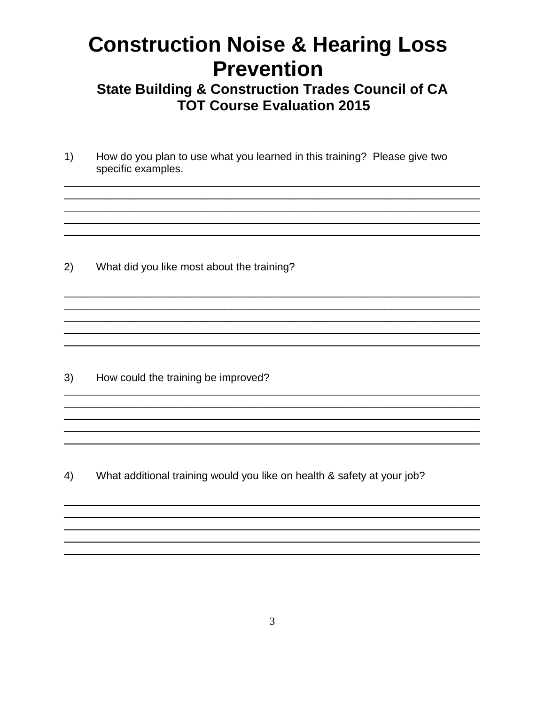**State Building & Construction Trades Council of CA TOT Course Evaluation 2015** 

<u> 1989 - La Santa Alemania, martin a strategica de la segunda de la segunda de la segunda de la segunda de la s</u>

How do you plan to use what you learned in this training? Please give two  $1)$ specific examples.

 $2)$ What did you like most about the training?

How could the training be improved? 3)

What additional training would you like on health & safety at your job?  $4)$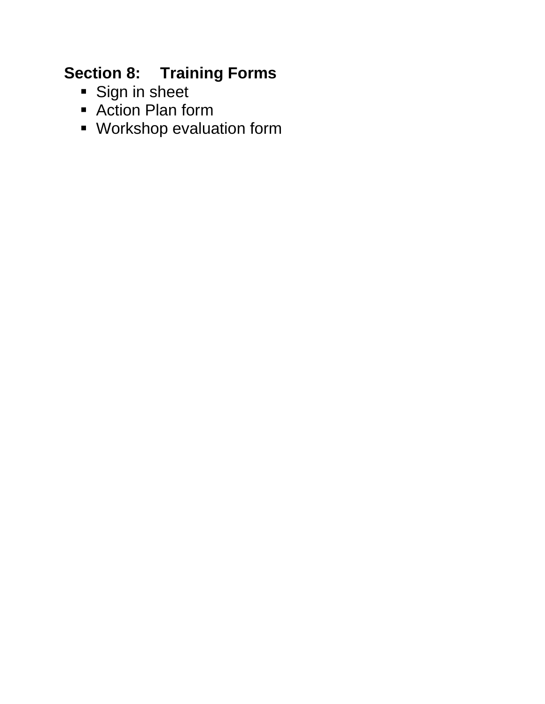### **Section 8: Training Forms**

- **Sign in sheet**
- Action Plan form
- Workshop evaluation form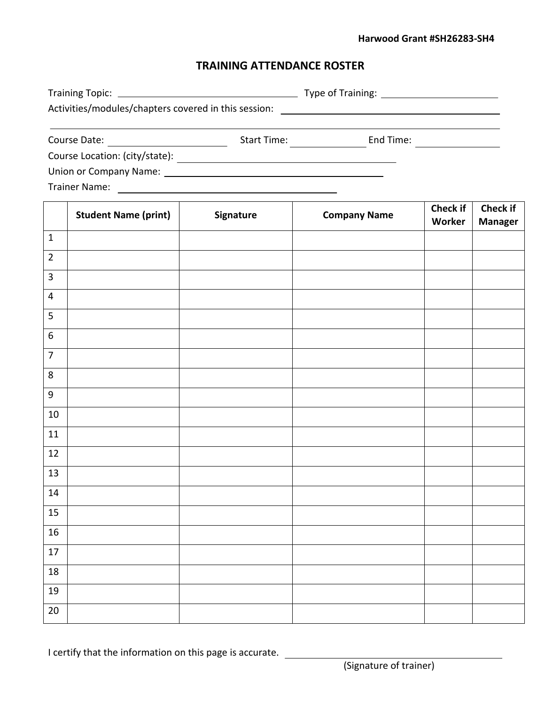#### **Harwood Grant #SH26283-SH4**

#### **TRAINING ATTENDANCE ROSTER**

|                                                      |             | Type of Training: <u>_____________________</u> |
|------------------------------------------------------|-------------|------------------------------------------------|
| Activities/modules/chapters covered in this session: |             |                                                |
| Course Date:                                         | Start Time: | End Time:                                      |

Course Location: (city/state):

Union or Company Name:

Trainer Name:

|                         | <b>Student Name (print)</b> | Signature | <b>Company Name</b> | <b>Check if</b><br>Worker | Check if<br><b>Manager</b> |
|-------------------------|-----------------------------|-----------|---------------------|---------------------------|----------------------------|
| $\mathbf 1$             |                             |           |                     |                           |                            |
| $\overline{2}$          |                             |           |                     |                           |                            |
| $\overline{3}$          |                             |           |                     |                           |                            |
| $\overline{\mathbf{4}}$ |                             |           |                     |                           |                            |
| 5                       |                             |           |                     |                           |                            |
| $6\,$                   |                             |           |                     |                           |                            |
| $\overline{7}$          |                             |           |                     |                           |                            |
| $\,8\,$                 |                             |           |                     |                           |                            |
| $\boldsymbol{9}$        |                             |           |                     |                           |                            |
| $10\,$                  |                             |           |                     |                           |                            |
| $11\,$                  |                             |           |                     |                           |                            |
| 12                      |                             |           |                     |                           |                            |
| 13                      |                             |           |                     |                           |                            |
| $14\,$                  |                             |           |                     |                           |                            |
| $15\,$                  |                             |           |                     |                           |                            |
| 16                      |                             |           |                     |                           |                            |
| $17\,$                  |                             |           |                     |                           |                            |
| $18\,$                  |                             |           |                     |                           |                            |
| 19                      |                             |           |                     |                           |                            |
| $20\,$                  |                             |           |                     |                           |                            |

I certify that the information on this page is accurate.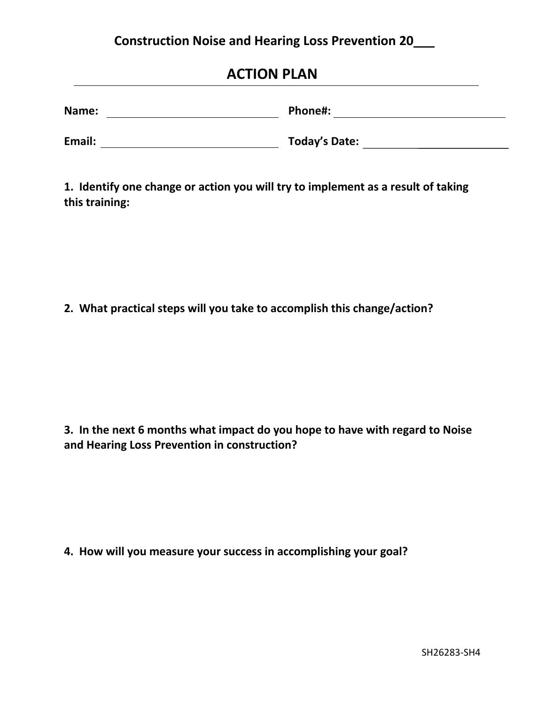#### **Construction Noise and Hearing Loss Prevention 20\_\_\_**

| Name:  | Phone#:              |
|--------|----------------------|
| Email: | <b>Today's Date:</b> |

**1. Identify one change or action you will try to implement as a result of taking this training:** 

**2. What practical steps will you take to accomplish this change/action?**

**3. In the next 6 months what impact do you hope to have with regard to Noise and Hearing Loss Prevention in construction?**

**4. How will you measure your success in accomplishing your goal?**